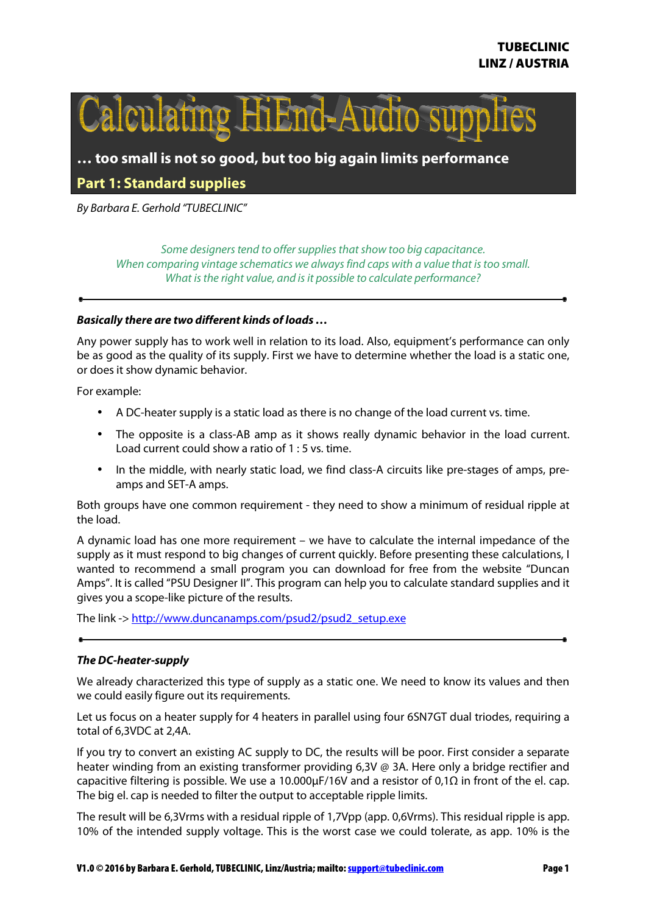

**… too small is not so good, but too big again limits performance** 

## **Part 1: Standard supplies**

By Barbara E. Gerhold "TUBECLINIC"

Some designers tend to offer supplies that show too big capacitance. When comparing vintage schematics we always find caps with a value that is too small. What is the right value, and is it possible to calculate performance?

## **Basically there are two different kinds of loads …**

Any power supply has to work well in relation to its load. Also, equipment's performance can only be as good as the quality of its supply. First we have to determine whether the load is a static one, or does it show dynamic behavior.

For example:

- A DC-heater supply is a static load as there is no change of the load current vs. time.
- The opposite is a class-AB amp as it shows really dynamic behavior in the load current. Load current could show a ratio of 1 : 5 vs. time.
- In the middle, with nearly static load, we find class-A circuits like pre-stages of amps, preamps and SET-A amps.

Both groups have one common requirement - they need to show a minimum of residual ripple at the load.

A dynamic load has one more requirement – we have to calculate the internal impedance of the supply as it must respond to big changes of current quickly. Before presenting these calculations, I wanted to recommend a small program you can download for free from the website "Duncan Amps". It is called "PSU Designer II". This program can help you to calculate standard supplies and it gives you a scope-like picture of the results.

The link -> http://www.duncanamps.com/psud2/psud2\_setup.exe

## **The DC-heater-supply**

We already characterized this type of supply as a static one. We need to know its values and then we could easily figure out its requirements.

Let us focus on a heater supply for 4 heaters in parallel using four 6SN7GT dual triodes, requiring a total of 6,3VDC at 2,4A.

If you try to convert an existing AC supply to DC, the results will be poor. First consider a separate heater winding from an existing transformer providing 6,3V @ 3A. Here only a bridge rectifier and capacitive filtering is possible. We use a 10.000 $\mu$ F/16V and a resistor of 0,1 $\Omega$  in front of the el. cap. The big el. cap is needed to filter the output to acceptable ripple limits.

The result will be 6,3Vrms with a residual ripple of 1,7Vpp (app. 0,6Vrms). This residual ripple is app. 10% of the intended supply voltage. This is the worst case we could tolerate, as app. 10% is the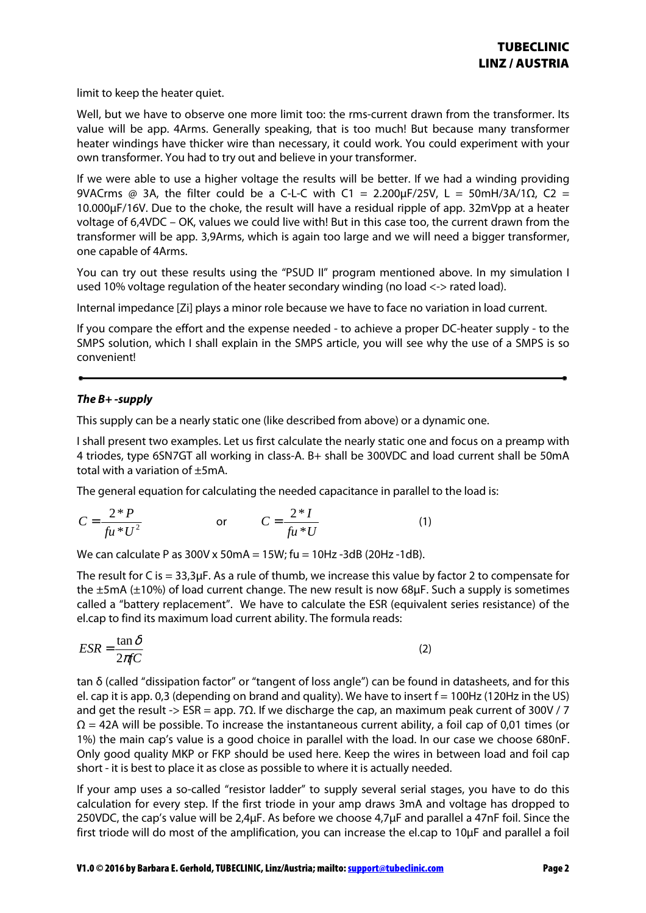limit to keep the heater quiet.

Well, but we have to observe one more limit too: the rms-current drawn from the transformer. Its value will be app. 4Arms. Generally speaking, that is too much! But because many transformer heater windings have thicker wire than necessary, it could work. You could experiment with your own transformer. You had to try out and believe in your transformer.

If we were able to use a higher voltage the results will be better. If we had a winding providing 9VACrms @ 3A, the filter could be a C-L-C with C1 = 2.200μF/25V, L = 50mH/3A/1Ω, C2 = 10.000µF/16V. Due to the choke, the result will have a residual ripple of app. 32mVpp at a heater voltage of 6,4VDC – OK, values we could live with! But in this case too, the current drawn from the transformer will be app. 3,9Arms, which is again too large and we will need a bigger transformer, one capable of 4Arms.

You can try out these results using the "PSUD II" program mentioned above. In my simulation I used 10% voltage regulation of the heater secondary winding (no load <-> rated load).

Internal impedance [Zi] plays a minor role because we have to face no variation in load current.

If you compare the effort and the expense needed - to achieve a proper DC-heater supply - to the SMPS solution, which I shall explain in the SMPS article, you will see why the use of a SMPS is so convenient!

## **The B+ -supply**

This supply can be a nearly static one (like described from above) or a dynamic one.

I shall present two examples. Let us first calculate the nearly static one and focus on a preamp with 4 triodes, type 6SN7GT all working in class-A. B+ shall be 300VDC and load current shall be 50mA total with a variation of ±5mA.

The general equation for calculating the needed capacitance in parallel to the load is:

$$
C = \frac{2 \cdot P}{fu \cdot V^2} \qquad \text{or} \qquad C = \frac{2 \cdot I}{fu \cdot V} \tag{1}
$$

We can calculate P as 300V x 50mA = 15W; fu = 10Hz -3dB (20Hz -1dB).

The result for C is = 33,3µF. As a rule of thumb, we increase this value by factor 2 to compensate for the ±5mA (±10%) of load current change. The new result is now 68µF. Such a supply is sometimes called a "battery replacement". We have to calculate the ESR (equivalent series resistance) of the el.cap to find its maximum load current ability. The formula reads:

$$
ESR = \frac{\tan \delta}{2\pi fC}
$$
 (2)

tan δ (called "dissipation factor" or "tangent of loss angle") can be found in datasheets, and for this el. cap it is app. 0,3 (depending on brand and quality). We have to insert  $f = 100$ Hz (120Hz in the US) and get the result -> ESR = app. 7 $\Omega$ . If we discharge the cap, an maximum peak current of 300V / 7  $\Omega$  = 42A will be possible. To increase the instantaneous current ability, a foil cap of 0,01 times (or 1%) the main cap's value is a good choice in parallel with the load. In our case we choose 680nF. Only good quality MKP or FKP should be used here. Keep the wires in between load and foil cap short - it is best to place it as close as possible to where it is actually needed.

If your amp uses a so-called "resistor ladder" to supply several serial stages, you have to do this calculation for every step. If the first triode in your amp draws 3mA and voltage has dropped to 250VDC, the cap's value will be 2,4µF. As before we choose 4,7µF and parallel a 47nF foil. Since the first triode will do most of the amplification, you can increase the el.cap to 10µF and parallel a foil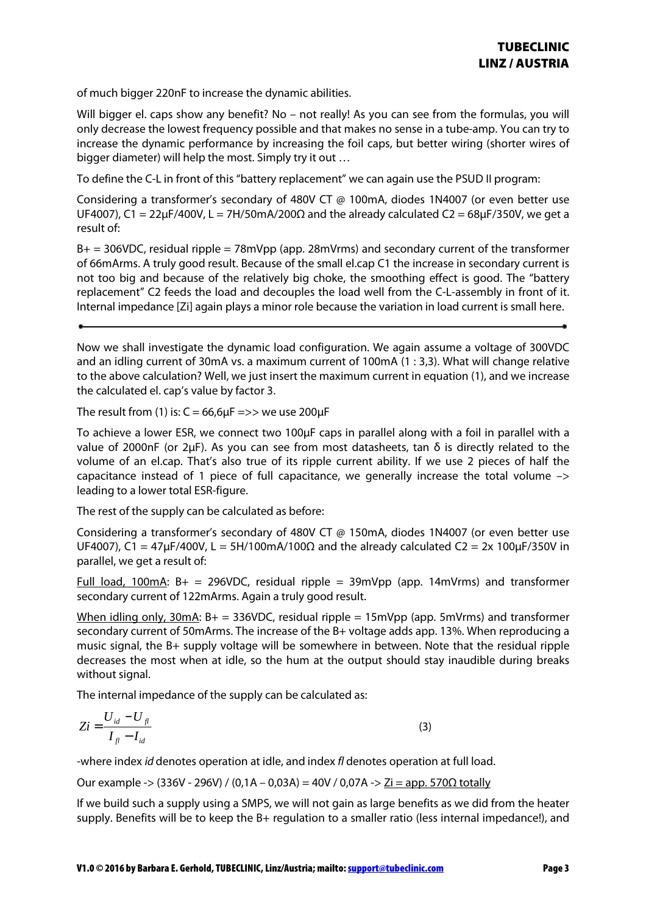of much bigger 220nF to increase the dynamic abilities.

Will bigger el. caps show any benefit? No – not really! As you can see from the formulas, you will only decrease the lowest frequency possible and that makes no sense in a tube-amp. You can try to increase the dynamic performance by increasing the foil caps, but better wiring (shorter wires of bigger diameter) will help the most. Simply try it out …

To define the C-L in front of this "battery replacement" we can again use the PSUD II program:

Considering a transformer's secondary of 480V CT @ 100mA, diodes 1N4007 (or even better use UF4007), C1 = 22µF/400V, L = 7H/50mA/200 $\Omega$  and the already calculated C2 = 68µF/350V, we get a result of:

 $B+=306VDC$ , residual ripple = 78mVpp (app. 28mVrms) and secondary current of the transformer of 66mArms. A truly good result. Because of the small el.cap C1 the increase in secondary current is not too big and because of the relatively big choke, the smoothing effect is good. The "battery replacement" C2 feeds the load and decouples the load well from the C-L-assembly in front of it. Internal impedance [Zi] again plays a minor role because the variation in load current is small here.

Now we shall investigate the dynamic load configuration. We again assume a voltage of 300VDC and an idling current of 30mA vs. a maximum current of 100mA (1 : 3,3). What will change relative to the above calculation? Well, we just insert the maximum current in equation (1), and we increase the calculated el. cap's value by factor 3.

The result from (1) is:  $C = 66,6\mu$ F =>> we use 200 $\mu$ F

To achieve a lower ESR, we connect two 100µF caps in parallel along with a foil in parallel with a value of 2000nF (or 2 $\mu$ F). As you can see from most datasheets, tan  $\delta$  is directly related to the volume of an el.cap. That's also true of its ripple current ability. If we use 2 pieces of half the capacitance instead of 1 piece of full capacitance, we generally increase the total volume –> leading to a lower total ESR-figure.

The rest of the supply can be calculated as before:

Considering a transformer's secondary of 480V CT @ 150mA, diodes 1N4007 (or even better use UF4007), C1 = 47µF/400V, L = 5H/100mA/100 $\Omega$  and the already calculated C2 = 2x 100µF/350V in parallel, we get a result of:

Full load, 100mA:  $B+ = 296$ VDC, residual ripple = 39mVpp (app. 14mVrms) and transformer secondary current of 122mArms. Again a truly good result.

When idling only, 30mA:  $B_+ = 336$ VDC, residual ripple = 15mVpp (app. 5mVrms) and transformer secondary current of 50mArms. The increase of the B+ voltage adds app. 13%. When reproducing a music signal, the B+ supply voltage will be somewhere in between. Note that the residual ripple decreases the most when at idle, so the hum at the output should stay inaudible during breaks without signal.

The internal impedance of the supply can be calculated as:

$$
Zi = \frac{U_{id} - U_{fl}}{I_{fl} - I_{id}}
$$
\n
$$
(3)
$$

-where index *id* denotes operation at idle, and index *fl* denotes operation at full load.

Our example -> (336V - 296V) / (0,1A – 0,03A) = 40V / 0,07A -> Zi = app. 570Ω totally

If we build such a supply using a SMPS, we will not gain as large benefits as we did from the heater supply. Benefits will be to keep the B+ regulation to a smaller ratio (less internal impedance!), and